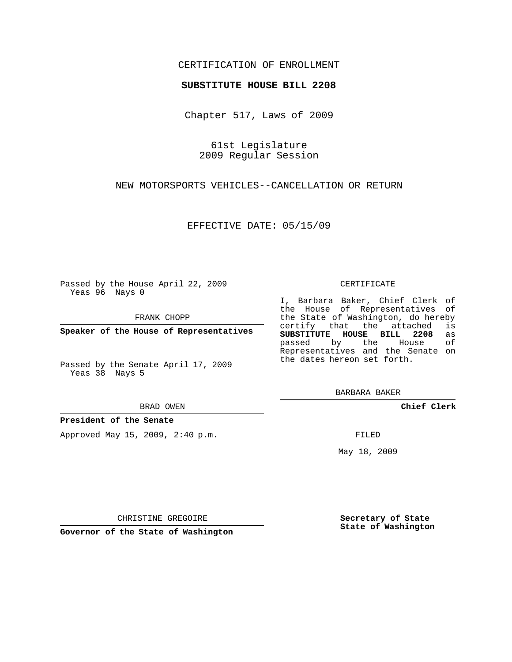## CERTIFICATION OF ENROLLMENT

### **SUBSTITUTE HOUSE BILL 2208**

Chapter 517, Laws of 2009

61st Legislature 2009 Regular Session

NEW MOTORSPORTS VEHICLES--CANCELLATION OR RETURN

EFFECTIVE DATE: 05/15/09

Passed by the House April 22, 2009 Yeas 96 Nays 0

FRANK CHOPP

**Speaker of the House of Representatives**

Passed by the Senate April 17, 2009 Yeas 38 Nays 5

#### BRAD OWEN

### **President of the Senate**

Approved May 15, 2009, 2:40 p.m.

#### CERTIFICATE

I, Barbara Baker, Chief Clerk of the House of Representatives of the State of Washington, do hereby<br>certify that the attached is certify that the attached **SUBSTITUTE HOUSE BILL 2208** as passed by the House of Representatives and the Senate on the dates hereon set forth.

BARBARA BAKER

**Chief Clerk**

FILED

May 18, 2009

**Secretary of State State of Washington**

CHRISTINE GREGOIRE

**Governor of the State of Washington**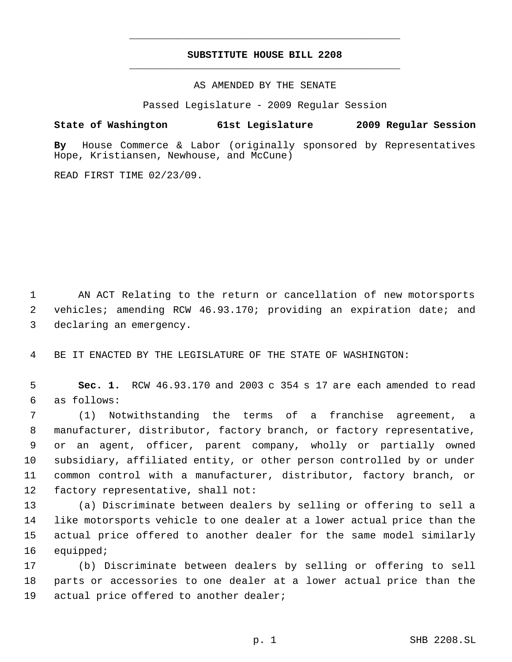# **SUBSTITUTE HOUSE BILL 2208** \_\_\_\_\_\_\_\_\_\_\_\_\_\_\_\_\_\_\_\_\_\_\_\_\_\_\_\_\_\_\_\_\_\_\_\_\_\_\_\_\_\_\_\_\_

\_\_\_\_\_\_\_\_\_\_\_\_\_\_\_\_\_\_\_\_\_\_\_\_\_\_\_\_\_\_\_\_\_\_\_\_\_\_\_\_\_\_\_\_\_

AS AMENDED BY THE SENATE

Passed Legislature - 2009 Regular Session

**State of Washington 61st Legislature 2009 Regular Session**

**By** House Commerce & Labor (originally sponsored by Representatives Hope, Kristiansen, Newhouse, and McCune)

READ FIRST TIME 02/23/09.

 AN ACT Relating to the return or cancellation of new motorsports vehicles; amending RCW 46.93.170; providing an expiration date; and declaring an emergency.

BE IT ENACTED BY THE LEGISLATURE OF THE STATE OF WASHINGTON:

 **Sec. 1.** RCW 46.93.170 and 2003 c 354 s 17 are each amended to read as follows:

 (1) Notwithstanding the terms of a franchise agreement, a manufacturer, distributor, factory branch, or factory representative, or an agent, officer, parent company, wholly or partially owned subsidiary, affiliated entity, or other person controlled by or under common control with a manufacturer, distributor, factory branch, or factory representative, shall not:

 (a) Discriminate between dealers by selling or offering to sell a like motorsports vehicle to one dealer at a lower actual price than the actual price offered to another dealer for the same model similarly equipped;

 (b) Discriminate between dealers by selling or offering to sell parts or accessories to one dealer at a lower actual price than the actual price offered to another dealer;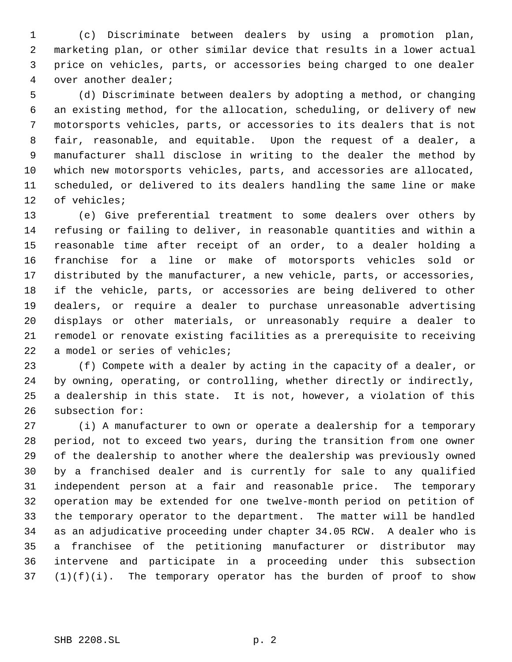(c) Discriminate between dealers by using a promotion plan, marketing plan, or other similar device that results in a lower actual price on vehicles, parts, or accessories being charged to one dealer over another dealer;

 (d) Discriminate between dealers by adopting a method, or changing an existing method, for the allocation, scheduling, or delivery of new motorsports vehicles, parts, or accessories to its dealers that is not fair, reasonable, and equitable. Upon the request of a dealer, a manufacturer shall disclose in writing to the dealer the method by which new motorsports vehicles, parts, and accessories are allocated, scheduled, or delivered to its dealers handling the same line or make of vehicles;

 (e) Give preferential treatment to some dealers over others by refusing or failing to deliver, in reasonable quantities and within a reasonable time after receipt of an order, to a dealer holding a franchise for a line or make of motorsports vehicles sold or distributed by the manufacturer, a new vehicle, parts, or accessories, if the vehicle, parts, or accessories are being delivered to other dealers, or require a dealer to purchase unreasonable advertising displays or other materials, or unreasonably require a dealer to remodel or renovate existing facilities as a prerequisite to receiving a model or series of vehicles;

 (f) Compete with a dealer by acting in the capacity of a dealer, or by owning, operating, or controlling, whether directly or indirectly, a dealership in this state. It is not, however, a violation of this subsection for:

 (i) A manufacturer to own or operate a dealership for a temporary period, not to exceed two years, during the transition from one owner of the dealership to another where the dealership was previously owned by a franchised dealer and is currently for sale to any qualified independent person at a fair and reasonable price. The temporary operation may be extended for one twelve-month period on petition of the temporary operator to the department. The matter will be handled as an adjudicative proceeding under chapter 34.05 RCW. A dealer who is a franchisee of the petitioning manufacturer or distributor may intervene and participate in a proceeding under this subsection  $(1)(f)(i)$ . The temporary operator has the burden of proof to show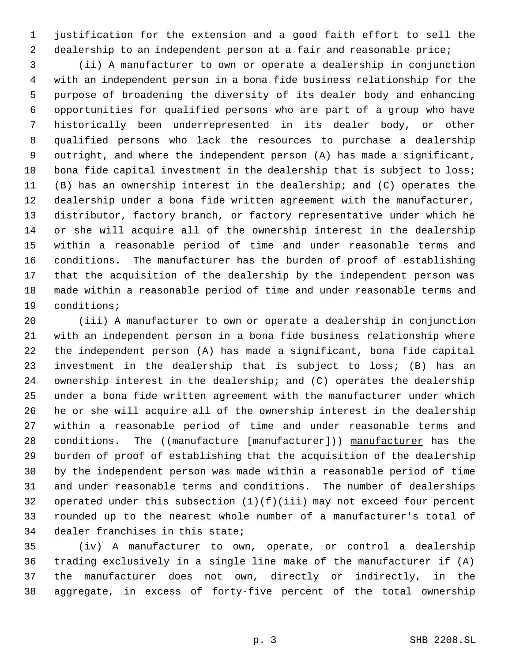justification for the extension and a good faith effort to sell the dealership to an independent person at a fair and reasonable price;

 (ii) A manufacturer to own or operate a dealership in conjunction with an independent person in a bona fide business relationship for the purpose of broadening the diversity of its dealer body and enhancing opportunities for qualified persons who are part of a group who have historically been underrepresented in its dealer body, or other qualified persons who lack the resources to purchase a dealership outright, and where the independent person (A) has made a significant, 10 bona fide capital investment in the dealership that is subject to loss; (B) has an ownership interest in the dealership; and (C) operates the dealership under a bona fide written agreement with the manufacturer, distributor, factory branch, or factory representative under which he or she will acquire all of the ownership interest in the dealership within a reasonable period of time and under reasonable terms and conditions. The manufacturer has the burden of proof of establishing that the acquisition of the dealership by the independent person was made within a reasonable period of time and under reasonable terms and conditions;

 (iii) A manufacturer to own or operate a dealership in conjunction with an independent person in a bona fide business relationship where the independent person (A) has made a significant, bona fide capital investment in the dealership that is subject to loss; (B) has an ownership interest in the dealership; and (C) operates the dealership under a bona fide written agreement with the manufacturer under which he or she will acquire all of the ownership interest in the dealership within a reasonable period of time and under reasonable terms and 28 conditions. The ((manufacture-[manufacturer])) manufacturer has the burden of proof of establishing that the acquisition of the dealership by the independent person was made within a reasonable period of time and under reasonable terms and conditions. The number of dealerships operated under this subsection (1)(f)(iii) may not exceed four percent rounded up to the nearest whole number of a manufacturer's total of dealer franchises in this state;

 (iv) A manufacturer to own, operate, or control a dealership trading exclusively in a single line make of the manufacturer if (A) the manufacturer does not own, directly or indirectly, in the aggregate, in excess of forty-five percent of the total ownership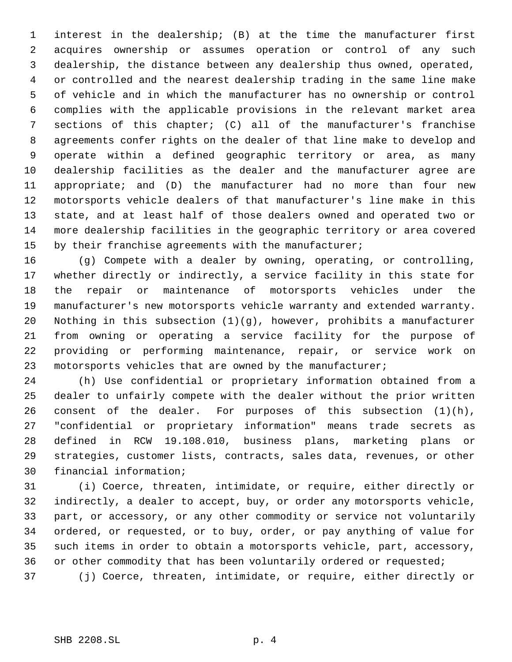interest in the dealership; (B) at the time the manufacturer first acquires ownership or assumes operation or control of any such dealership, the distance between any dealership thus owned, operated, or controlled and the nearest dealership trading in the same line make of vehicle and in which the manufacturer has no ownership or control complies with the applicable provisions in the relevant market area sections of this chapter; (C) all of the manufacturer's franchise agreements confer rights on the dealer of that line make to develop and operate within a defined geographic territory or area, as many dealership facilities as the dealer and the manufacturer agree are appropriate; and (D) the manufacturer had no more than four new motorsports vehicle dealers of that manufacturer's line make in this state, and at least half of those dealers owned and operated two or more dealership facilities in the geographic territory or area covered 15 by their franchise agreements with the manufacturer;

 (g) Compete with a dealer by owning, operating, or controlling, whether directly or indirectly, a service facility in this state for the repair or maintenance of motorsports vehicles under the manufacturer's new motorsports vehicle warranty and extended warranty. Nothing in this subsection (1)(g), however, prohibits a manufacturer from owning or operating a service facility for the purpose of providing or performing maintenance, repair, or service work on motorsports vehicles that are owned by the manufacturer;

 (h) Use confidential or proprietary information obtained from a dealer to unfairly compete with the dealer without the prior written consent of the dealer. For purposes of this subsection (1)(h), "confidential or proprietary information" means trade secrets as defined in RCW 19.108.010, business plans, marketing plans or strategies, customer lists, contracts, sales data, revenues, or other financial information;

 (i) Coerce, threaten, intimidate, or require, either directly or indirectly, a dealer to accept, buy, or order any motorsports vehicle, part, or accessory, or any other commodity or service not voluntarily ordered, or requested, or to buy, order, or pay anything of value for such items in order to obtain a motorsports vehicle, part, accessory, 36 or other commodity that has been voluntarily ordered or requested;

(j) Coerce, threaten, intimidate, or require, either directly or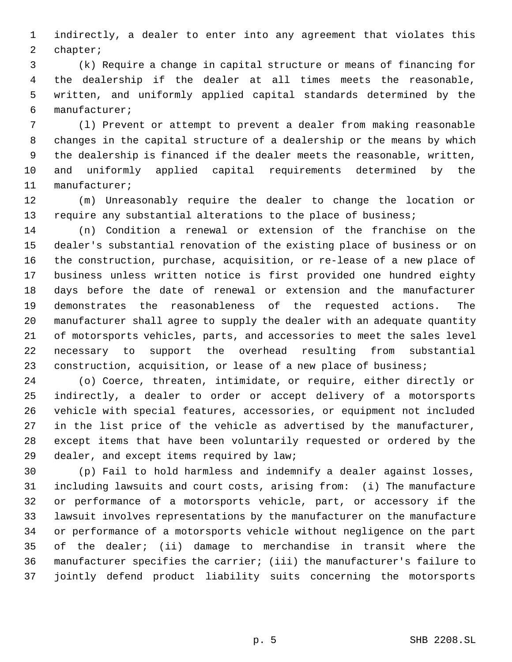indirectly, a dealer to enter into any agreement that violates this chapter;

 (k) Require a change in capital structure or means of financing for the dealership if the dealer at all times meets the reasonable, written, and uniformly applied capital standards determined by the manufacturer;

 (l) Prevent or attempt to prevent a dealer from making reasonable changes in the capital structure of a dealership or the means by which the dealership is financed if the dealer meets the reasonable, written, and uniformly applied capital requirements determined by the manufacturer;

 (m) Unreasonably require the dealer to change the location or 13 require any substantial alterations to the place of business;

 (n) Condition a renewal or extension of the franchise on the dealer's substantial renovation of the existing place of business or on the construction, purchase, acquisition, or re-lease of a new place of business unless written notice is first provided one hundred eighty days before the date of renewal or extension and the manufacturer demonstrates the reasonableness of the requested actions. The manufacturer shall agree to supply the dealer with an adequate quantity of motorsports vehicles, parts, and accessories to meet the sales level necessary to support the overhead resulting from substantial construction, acquisition, or lease of a new place of business;

 (o) Coerce, threaten, intimidate, or require, either directly or indirectly, a dealer to order or accept delivery of a motorsports vehicle with special features, accessories, or equipment not included in the list price of the vehicle as advertised by the manufacturer, except items that have been voluntarily requested or ordered by the 29 dealer, and except items required by law;

 (p) Fail to hold harmless and indemnify a dealer against losses, including lawsuits and court costs, arising from: (i) The manufacture or performance of a motorsports vehicle, part, or accessory if the lawsuit involves representations by the manufacturer on the manufacture or performance of a motorsports vehicle without negligence on the part of the dealer; (ii) damage to merchandise in transit where the manufacturer specifies the carrier; (iii) the manufacturer's failure to jointly defend product liability suits concerning the motorsports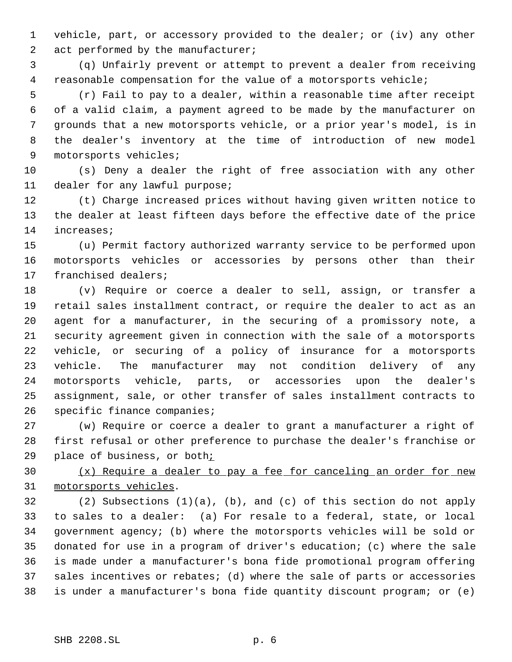vehicle, part, or accessory provided to the dealer; or (iv) any other 2 act performed by the manufacturer;

 (q) Unfairly prevent or attempt to prevent a dealer from receiving reasonable compensation for the value of a motorsports vehicle;

 (r) Fail to pay to a dealer, within a reasonable time after receipt of a valid claim, a payment agreed to be made by the manufacturer on grounds that a new motorsports vehicle, or a prior year's model, is in the dealer's inventory at the time of introduction of new model motorsports vehicles;

 (s) Deny a dealer the right of free association with any other dealer for any lawful purpose;

 (t) Charge increased prices without having given written notice to the dealer at least fifteen days before the effective date of the price increases;

 (u) Permit factory authorized warranty service to be performed upon motorsports vehicles or accessories by persons other than their franchised dealers;

 (v) Require or coerce a dealer to sell, assign, or transfer a retail sales installment contract, or require the dealer to act as an agent for a manufacturer, in the securing of a promissory note, a security agreement given in connection with the sale of a motorsports vehicle, or securing of a policy of insurance for a motorsports vehicle. The manufacturer may not condition delivery of any motorsports vehicle, parts, or accessories upon the dealer's assignment, sale, or other transfer of sales installment contracts to specific finance companies;

 (w) Require or coerce a dealer to grant a manufacturer a right of first refusal or other preference to purchase the dealer's franchise or place of business, or both;

30 (x) Require a dealer to pay a fee for canceling an order for new motorsports vehicles.

 (2) Subsections (1)(a), (b), and (c) of this section do not apply to sales to a dealer: (a) For resale to a federal, state, or local government agency; (b) where the motorsports vehicles will be sold or donated for use in a program of driver's education; (c) where the sale is made under a manufacturer's bona fide promotional program offering sales incentives or rebates; (d) where the sale of parts or accessories is under a manufacturer's bona fide quantity discount program; or (e)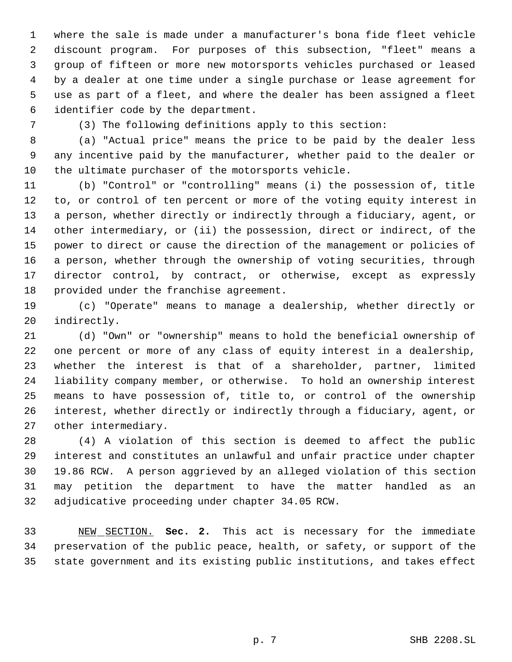where the sale is made under a manufacturer's bona fide fleet vehicle discount program. For purposes of this subsection, "fleet" means a group of fifteen or more new motorsports vehicles purchased or leased by a dealer at one time under a single purchase or lease agreement for use as part of a fleet, and where the dealer has been assigned a fleet identifier code by the department.

(3) The following definitions apply to this section:

 (a) "Actual price" means the price to be paid by the dealer less any incentive paid by the manufacturer, whether paid to the dealer or the ultimate purchaser of the motorsports vehicle.

 (b) "Control" or "controlling" means (i) the possession of, title to, or control of ten percent or more of the voting equity interest in a person, whether directly or indirectly through a fiduciary, agent, or other intermediary, or (ii) the possession, direct or indirect, of the power to direct or cause the direction of the management or policies of a person, whether through the ownership of voting securities, through director control, by contract, or otherwise, except as expressly provided under the franchise agreement.

 (c) "Operate" means to manage a dealership, whether directly or indirectly.

 (d) "Own" or "ownership" means to hold the beneficial ownership of one percent or more of any class of equity interest in a dealership, whether the interest is that of a shareholder, partner, limited liability company member, or otherwise. To hold an ownership interest means to have possession of, title to, or control of the ownership interest, whether directly or indirectly through a fiduciary, agent, or other intermediary.

 (4) A violation of this section is deemed to affect the public interest and constitutes an unlawful and unfair practice under chapter 19.86 RCW. A person aggrieved by an alleged violation of this section may petition the department to have the matter handled as an adjudicative proceeding under chapter 34.05 RCW.

 NEW SECTION. **Sec. 2.** This act is necessary for the immediate preservation of the public peace, health, or safety, or support of the state government and its existing public institutions, and takes effect